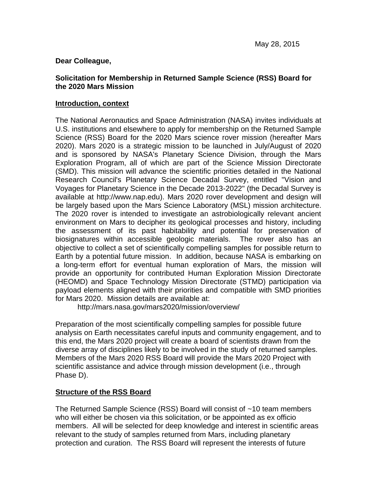## **Dear Colleague,**

## **Solicitation for Membership in Returned Sample Science (RSS) Board for the 2020 Mars Mission**

#### **Introduction, context**

The National Aeronautics and Space Administration (NASA) invites individuals at U.S. institutions and elsewhere to apply for membership on the Returned Sample Science (RSS) Board for the 2020 Mars science rover mission (hereafter Mars 2020). Mars 2020 is a strategic mission to be launched in July/August of 2020 and is sponsored by NASA's Planetary Science Division, through the Mars Exploration Program, all of which are part of the Science Mission Directorate (SMD). This mission will advance the scientific priorities detailed in the National Research Council's Planetary Science Decadal Survey, entitled "Vision and Voyages for Planetary Science in the Decade 2013-2022" (the Decadal Survey is available at http://www.nap.edu). Mars 2020 rover development and design will be largely based upon the Mars Science Laboratory (MSL) mission architecture. The 2020 rover is intended to investigate an astrobiologically relevant ancient environment on Mars to decipher its geological processes and history, including the assessment of its past habitability and potential for preservation of biosignatures within accessible geologic materials. The rover also has an objective to collect a set of scientifically compelling samples for possible return to Earth by a potential future mission. In addition, because NASA is embarking on a long-term effort for eventual human exploration of Mars, the mission will provide an opportunity for contributed Human Exploration Mission Directorate (HEOMD) and Space Technology Mission Directorate (STMD) participation via payload elements aligned with their priorities and compatible with SMD priorities for Mars 2020. Mission details are available at:

http://mars.nasa.gov/mars2020/mission/overview/

Preparation of the most scientifically compelling samples for possible future analysis on Earth necessitates careful inputs and community engagement, and to this end, the Mars 2020 project will create a board of scientists drawn from the diverse array of disciplines likely to be involved in the study of returned samples. Members of the Mars 2020 RSS Board will provide the Mars 2020 Project with scientific assistance and advice through mission development (i.e., through Phase D).

#### **Structure of the RSS Board**

The Returned Sample Science (RSS) Board will consist of ~10 team members who will either be chosen via this solicitation, or be appointed as ex officio members. All will be selected for deep knowledge and interest in scientific areas relevant to the study of samples returned from Mars, including planetary protection and curation. The RSS Board will represent the interests of future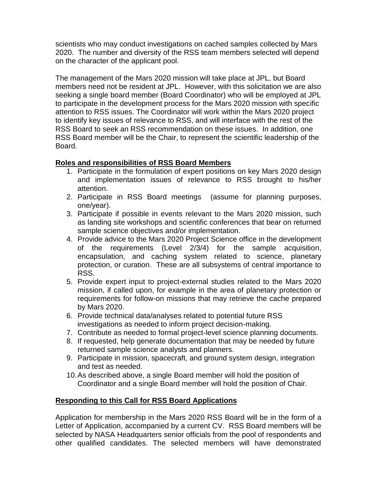scientists who may conduct investigations on cached samples collected by Mars 2020. The number and diversity of the RSS team members selected will depend on the character of the applicant pool.

The management of the Mars 2020 mission will take place at JPL, but Board members need not be resident at JPL. However, with this solicitation we are also seeking a single board member (Board Coordinator) who will be employed at JPL to participate in the development process for the Mars 2020 mission with specific attention to RSS issues. The Coordinator will work within the Mars 2020 project to identify key issues of relevance to RSS, and will interface with the rest of the RSS Board to seek an RSS recommendation on these issues. In addition, one RSS Board member will be the Chair, to represent the scientific leadership of the Board.

# **Roles and responsibilities of RSS Board Members**

- 1. Participate in the formulation of expert positions on key Mars 2020 design and implementation issues of relevance to RSS brought to his/her attention.
- 2. Participate in RSS Board meetings (assume for planning purposes, one/year).
- 3. Participate if possible in events relevant to the Mars 2020 mission, such as landing site workshops and scientific conferences that bear on returned sample science objectives and/or implementation.
- 4. Provide advice to the Mars 2020 Project Science office in the development of the requirements (Level 2/3/4) for the sample acquisition, encapsulation, and caching system related to science, planetary protection, or curation. These are all subsystems of central importance to RSS.
- 5. Provide expert input to project-external studies related to the Mars 2020 mission, if called upon, for example in the area of planetary protection or requirements for follow-on missions that may retrieve the cache prepared by Mars 2020.
- 6. Provide technical data/analyses related to potential future RSS investigations as needed to inform project decision-making.
- 7. Contribute as needed to formal project-level science planning documents.
- 8. If requested, help generate documentation that may be needed by future returned sample science analysts and planners.
- 9. Participate in mission, spacecraft, and ground system design, integration and test as needed.
- 10.As described above, a single Board member will hold the position of Coordinator and a single Board member will hold the position of Chair.

# **Responding to this Call for RSS Board Applications**

Application for membership in the Mars 2020 RSS Board will be in the form of a Letter of Application, accompanied by a current CV. RSS Board members will be selected by NASA Headquarters senior officials from the pool of respondents and other qualified candidates. The selected members will have demonstrated